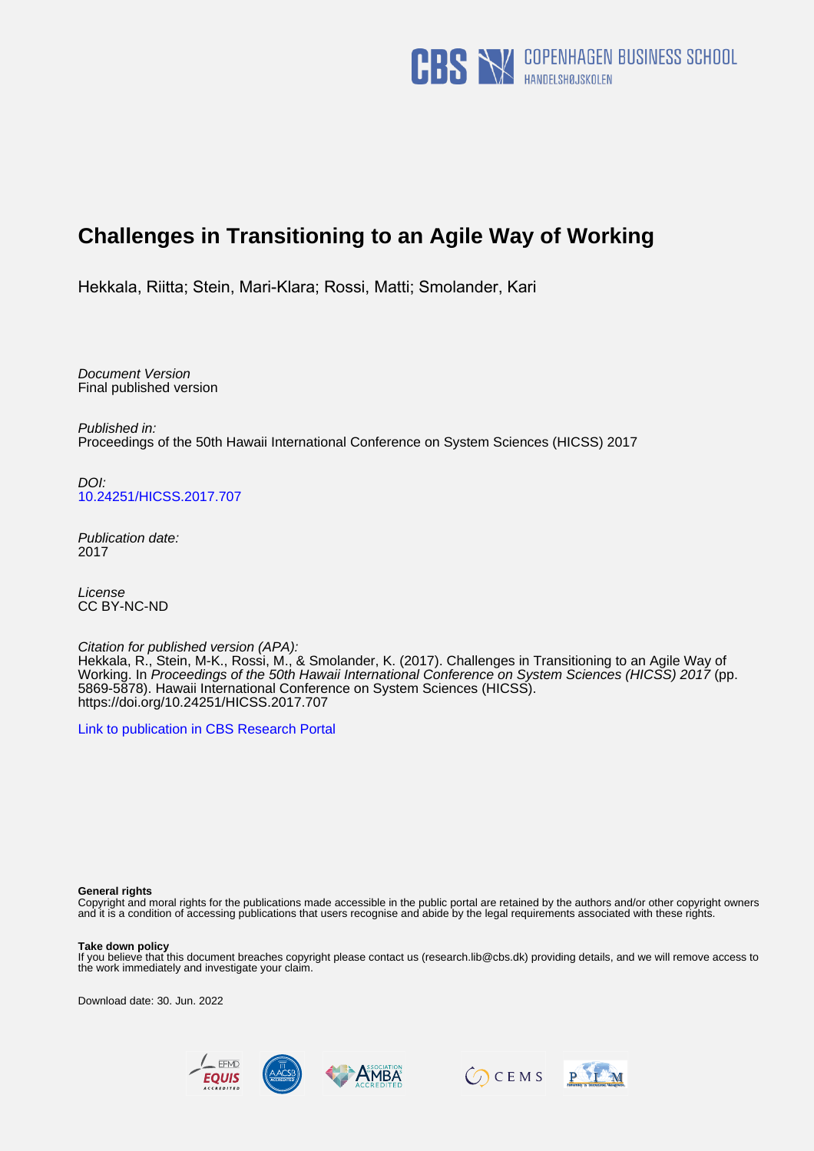

# **Challenges in Transitioning to an Agile Way of Working**

Hekkala, Riitta; Stein, Mari-Klara; Rossi, Matti; Smolander, Kari

Document Version Final published version

Published in: Proceedings of the 50th Hawaii International Conference on System Sciences (HICSS) 2017

DOI: [10.24251/HICSS.2017.707](https://doi.org/10.24251/HICSS.2017.707)

Publication date: 2017

License CC BY-NC-ND

Citation for published version (APA): Hekkala, R., Stein, M-K., Rossi, M., & Smolander, K. (2017). Challenges in Transitioning to an Agile Way of Working. In Proceedings of the 50th Hawaii International Conference on System Sciences (HICSS) 2017 (pp. 5869-5878). Hawaii International Conference on System Sciences (HICSS). <https://doi.org/10.24251/HICSS.2017.707>

[Link to publication in CBS Research Portal](https://research.cbs.dk/en/publications/6582d116-e56c-4a33-8654-19e7ed0eef64)

#### **General rights**

Copyright and moral rights for the publications made accessible in the public portal are retained by the authors and/or other copyright owners and it is a condition of accessing publications that users recognise and abide by the legal requirements associated with these rights.

#### **Take down policy**

If you believe that this document breaches copyright please contact us (research.lib@cbs.dk) providing details, and we will remove access to the work immediately and investigate your claim.

Download date: 30. Jun. 2022







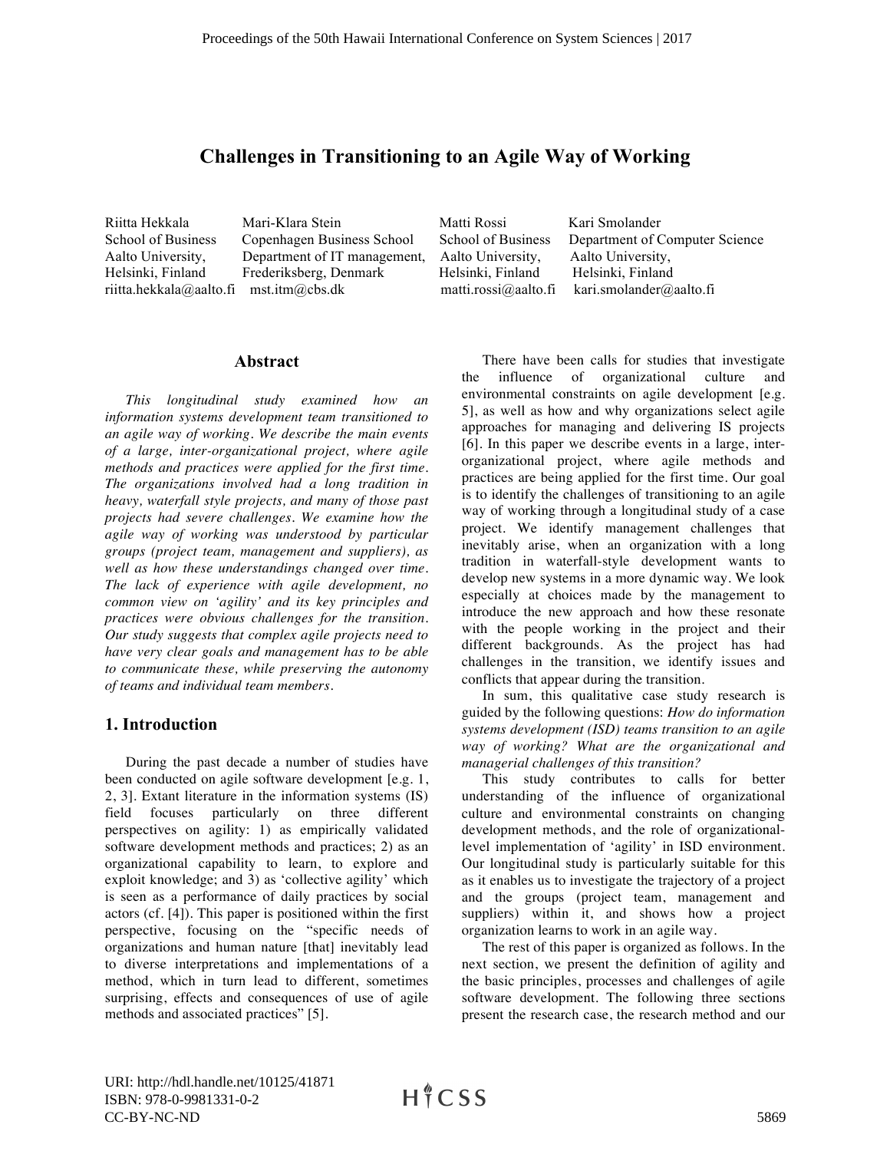## **Challenges in Transitioning to an Agile Way of Working**

Riitta Hekkala Mari-Klara Stein Matti Rossi Kari Smolander Aalto University, Department of IT management, Aalto University, Aalto University, Helsinki, Finland Frederiksberg, Denmark Helsinki, Finland Helsinki, Finland riitta.hekkala@aalto.fi mst.itm@cbs.dk matti.rossi@aalto.fi kari.smolander@aalto.fi

School of Business Copenhagen Business School School of Business Department of Computer Science

#### **Abstract**

*This longitudinal study examined how an information systems development team transitioned to an agile way of working. We describe the main events of a large, inter-organizational project, where agile methods and practices were applied for the first time. The organizations involved had a long tradition in heavy, waterfall style projects, and many of those past projects had severe challenges. We examine how the agile way of working was understood by particular groups (project team, management and suppliers), as well as how these understandings changed over time. The lack of experience with agile development, no common view on 'agility' and its key principles and practices were obvious challenges for the transition. Our study suggests that complex agile projects need to have very clear goals and management has to be able to communicate these, while preserving the autonomy of teams and individual team members.*

## **1. Introduction**

During the past decade a number of studies have been conducted on agile software development [e.g. 1, 2, 3]. Extant literature in the information systems (IS) field focuses particularly on three different perspectives on agility: 1) as empirically validated software development methods and practices; 2) as an organizational capability to learn, to explore and exploit knowledge; and 3) as 'collective agility' which is seen as a performance of daily practices by social actors (cf. [4]). This paper is positioned within the first perspective, focusing on the "specific needs of organizations and human nature [that] inevitably lead to diverse interpretations and implementations of a method, which in turn lead to different, sometimes surprising, effects and consequences of use of agile methods and associated practices" [5].

There have been calls for studies that investigate the influence of organizational culture and environmental constraints on agile development [e.g. 5], as well as how and why organizations select agile approaches for managing and delivering IS projects [6]. In this paper we describe events in a large, interorganizational project, where agile methods and practices are being applied for the first time. Our goal is to identify the challenges of transitioning to an agile way of working through a longitudinal study of a case project. We identify management challenges that inevitably arise, when an organization with a long tradition in waterfall-style development wants to develop new systems in a more dynamic way. We look especially at choices made by the management to introduce the new approach and how these resonate with the people working in the project and their different backgrounds. As the project has had challenges in the transition, we identify issues and conflicts that appear during the transition.

In sum, this qualitative case study research is guided by the following questions: *How do information systems development (ISD) teams transition to an agile way of working? What are the organizational and managerial challenges of this transition?*

This study contributes to calls for better understanding of the influence of organizational culture and environmental constraints on changing development methods, and the role of organizationallevel implementation of 'agility' in ISD environment. Our longitudinal study is particularly suitable for this as it enables us to investigate the trajectory of a project and the groups (project team, management and suppliers) within it, and shows how a project organization learns to work in an agile way.

The rest of this paper is organized as follows. In the next section, we present the definition of agility and the basic principles, processes and challenges of agile software development. The following three sections present the research case, the research method and our

URI: http://hdl.handle.net/10125/41871 ISBN: 978-0-9981331-0-2 CC-BY-NC-ND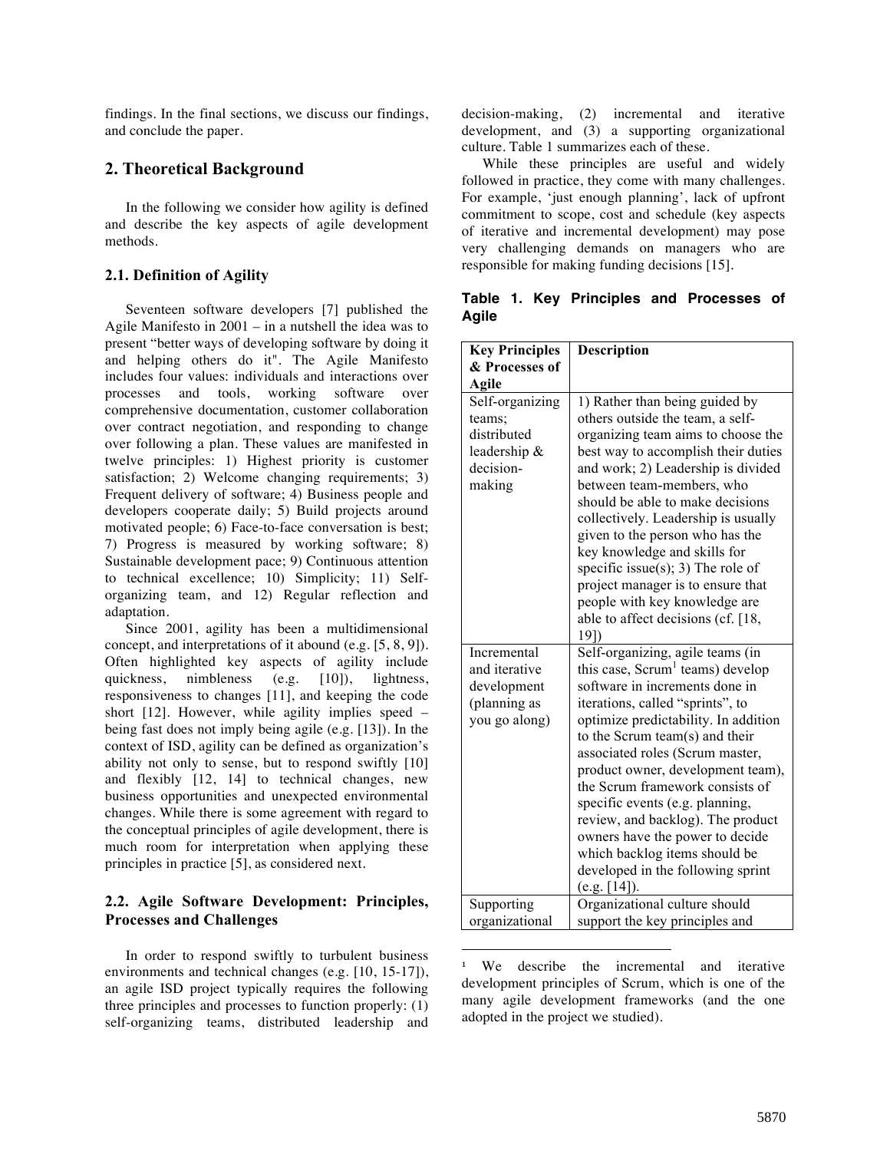findings. In the final sections, we discuss our findings, and conclude the paper.

#### **2. Theoretical Background**

In the following we consider how agility is defined and describe the key aspects of agile development methods.

#### **2.1. Definition of Agility**

Seventeen software developers [7] published the Agile Manifesto in 2001 – in a nutshell the idea was to present "better ways of developing software by doing it and helping others do it". The Agile Manifesto includes four values: individuals and interactions over processes and tools, working software over comprehensive documentation, customer collaboration over contract negotiation, and responding to change over following a plan. These values are manifested in twelve principles: 1) Highest priority is customer satisfaction; 2) Welcome changing requirements; 3) Frequent delivery of software; 4) Business people and developers cooperate daily; 5) Build projects around motivated people; 6) Face-to-face conversation is best; 7) Progress is measured by working software; 8) Sustainable development pace; 9) Continuous attention to technical excellence; 10) Simplicity; 11) Selforganizing team, and 12) Regular reflection and adaptation.

Since 2001, agility has been a multidimensional concept, and interpretations of it abound (e.g. [5, 8, 9]). Often highlighted key aspects of agility include quickness, nimbleness (e.g. [10]), lightness, responsiveness to changes [11], and keeping the code short [12]. However, while agility implies speed – being fast does not imply being agile (e.g. [13]). In the context of ISD, agility can be defined as organization's ability not only to sense, but to respond swiftly [10] and flexibly [12, 14] to technical changes, new business opportunities and unexpected environmental changes. While there is some agreement with regard to the conceptual principles of agile development, there is much room for interpretation when applying these principles in practice [5], as considered next.

#### **2.2. Agile Software Development: Principles, Processes and Challenges**

In order to respond swiftly to turbulent business environments and technical changes (e.g. [10, 15-17]), an agile ISD project typically requires the following three principles and processes to function properly: (1) self-organizing teams, distributed leadership and

decision-making, (2) incremental and iterative development, and  $(3)$  a supporting organizational culture. Table 1 summarizes each of these.

While these principles are useful and widely followed in practice, they come with many challenges. For example, 'just enough planning', lack of upfront commitment to scope, cost and schedule (key aspects of iterative and incremental development) may pose very challenging demands on managers who are responsible for making funding decisions [15].

**Table 1. Key Principles and Processes of Agile**

| <b>Key Principles</b>                                                           | <b>Description</b>                                                                                                                                                                                                                                                                                                                                                                                                                                                                                                            |
|---------------------------------------------------------------------------------|-------------------------------------------------------------------------------------------------------------------------------------------------------------------------------------------------------------------------------------------------------------------------------------------------------------------------------------------------------------------------------------------------------------------------------------------------------------------------------------------------------------------------------|
| & Processes of                                                                  |                                                                                                                                                                                                                                                                                                                                                                                                                                                                                                                               |
| <b>Agile</b>                                                                    |                                                                                                                                                                                                                                                                                                                                                                                                                                                                                                                               |
| Self-organizing<br>teams;<br>distributed<br>leadership &<br>decision-<br>making | 1) Rather than being guided by<br>others outside the team, a self-<br>organizing team aims to choose the<br>best way to accomplish their duties<br>and work; 2) Leadership is divided<br>between team-members, who<br>should be able to make decisions<br>collectively. Leadership is usually<br>given to the person who has the<br>key knowledge and skills for<br>specific issue $(s)$ ; 3) The role of<br>project manager is to ensure that<br>people with key knowledge are<br>able to affect decisions (cf. [18,<br>19]) |
| Incremental<br>and iterative<br>development<br>(planning as<br>you go along)    | Self-organizing, agile teams (in<br>this case, Scrum <sup>1</sup> teams) develop<br>software in increments done in<br>iterations, called "sprints", to<br>optimize predictability. In addition<br>to the Scrum team(s) and their<br>associated roles (Scrum master,<br>product owner, development team),<br>the Scrum framework consists of<br>specific events (e.g. planning,<br>review, and backlog). The product<br>owners have the power to decide<br>which backlog items should be<br>developed in the following sprint  |
| Supporting                                                                      | $(e.g. [14])$ .<br>Organizational culture should                                                                                                                                                                                                                                                                                                                                                                                                                                                                              |
| organizational                                                                  | support the key principles and                                                                                                                                                                                                                                                                                                                                                                                                                                                                                                |

We describe the incremental and iterative development principles of Scrum, which is one of the many agile development frameworks (and the one adopted in the project we studied).

 $\overline{a}$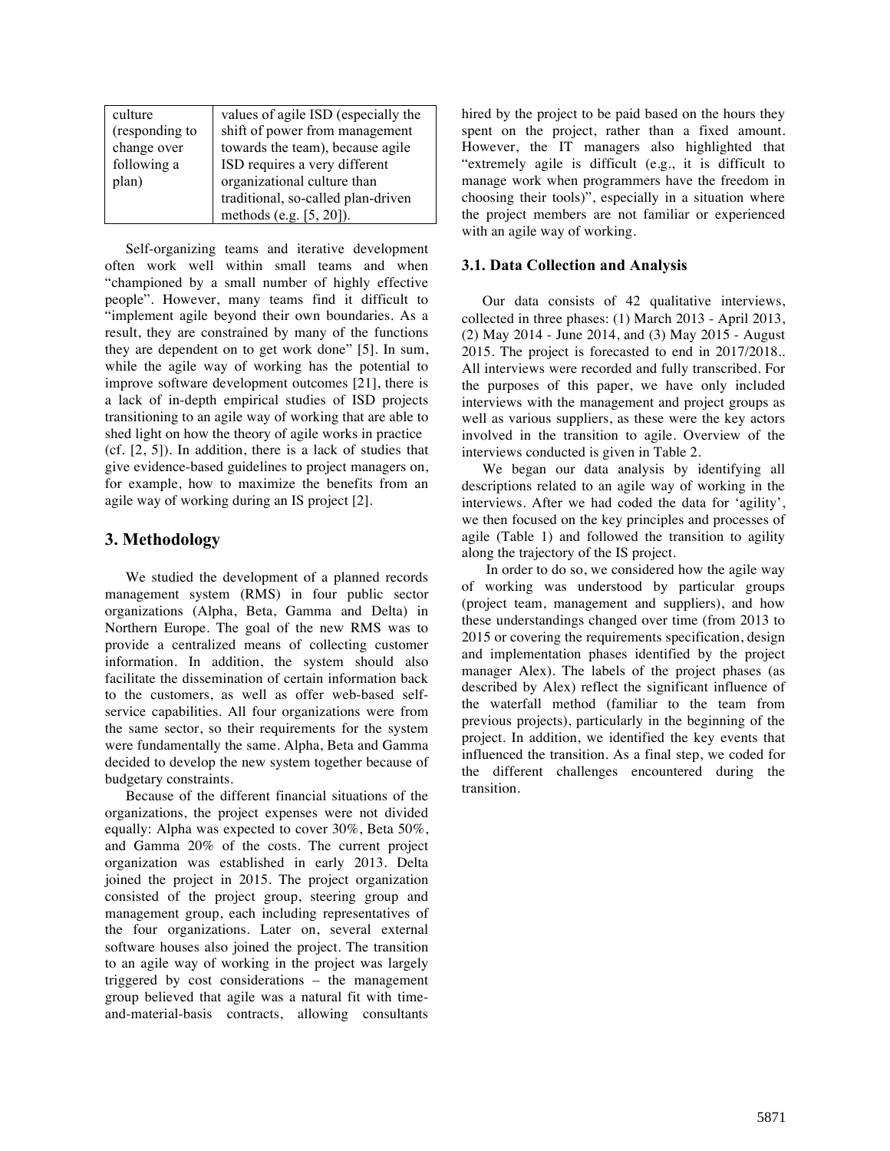| culture        | values of agile ISD (especially the |
|----------------|-------------------------------------|
| (responding to | shift of power from management      |
| change over    | towards the team), because agile    |
| following a    | ISD requires a very different       |
| plan)          | organizational culture than         |
|                | traditional, so-called plan-driven  |
|                | methods (e.g. $[5, 20]$ ).          |

Self-organizing teams and iterative development often work well within small teams and when "championed by a small number of highly effective people". However, many teams find it difficult to "implement agile beyond their own boundaries. As a result, they are constrained by many of the functions they are dependent on to get work done" [5]. In sum, while the agile way of working has the potential to improve software development outcomes [21], there is a lack of in-depth empirical studies of ISD projects transitioning to an agile way of working that are able to shed light on how the theory of agile works in practice (cf. [2, 5]). In addition, there is a lack of studies that give evidence-based guidelines to project managers on, for example, how to maximize the benefits from an agile way of working during an IS project [2].

## **3. Methodology**

We studied the development of a planned records management system (RMS) in four public sector organizations (Alpha, Beta, Gamma and Delta) in Northern Europe. The goal of the new RMS was to provide a centralized means of collecting customer information. In addition, the system should also facilitate the dissemination of certain information back to the customers, as well as offer web-based selfservice capabilities. All four organizations were from the same sector, so their requirements for the system were fundamentally the same. Alpha, Beta and Gamma decided to develop the new system together because of budgetary constraints.

Because of the different financial situations of the organizations, the project expenses were not divided equally: Alpha was expected to cover 30%, Beta 50%, and Gamma 20% of the costs. The current project organization was established in early 2013. Delta joined the project in 2015. The project organization consisted of the project group, steering group and management group, each including representatives of the four organizations. Later on, several external software houses also joined the project. The transition to an agile way of working in the project was largely triggered by cost considerations – the management group believed that agile was a natural fit with timeand-material-basis contracts, allowing consultants

hired by the project to be paid based on the hours they spent on the project, rather than a fixed amount. However, the IT managers also highlighted that "extremely agile is difficult (e.g., it is difficult to manage work when programmers have the freedom in choosing their tools)", especially in a situation where the project members are not familiar or experienced with an agile way of working.

#### **3.1. Data Collection and Analysis**

Our data consists of 42 qualitative interviews, collected in three phases: (1) March 2013 - April 2013, (2) May 2014 - June 2014, and (3) May 2015 - August 2015. The project is forecasted to end in 2017/2018.. All interviews were recorded and fully transcribed. For the purposes of this paper, we have only included interviews with the management and project groups as well as various suppliers, as these were the key actors involved in the transition to agile. Overview of the interviews conducted is given in Table 2.

We began our data analysis by identifying all descriptions related to an agile way of working in the interviews. After we had coded the data for 'agility', we then focused on the key principles and processes of agile (Table 1) and followed the transition to agility along the trajectory of the IS project.

In order to do so, we considered how the agile way of working was understood by particular groups (project team, management and suppliers), and how these understandings changed over time (from 2013 to 2015 or covering the requirements specification, design and implementation phases identified by the project manager Alex). The labels of the project phases (as described by Alex) reflect the significant influence of the waterfall method (familiar to the team from previous projects), particularly in the beginning of the project. In addition, we identified the key events that influenced the transition. As a final step, we coded for the different challenges encountered during the transition.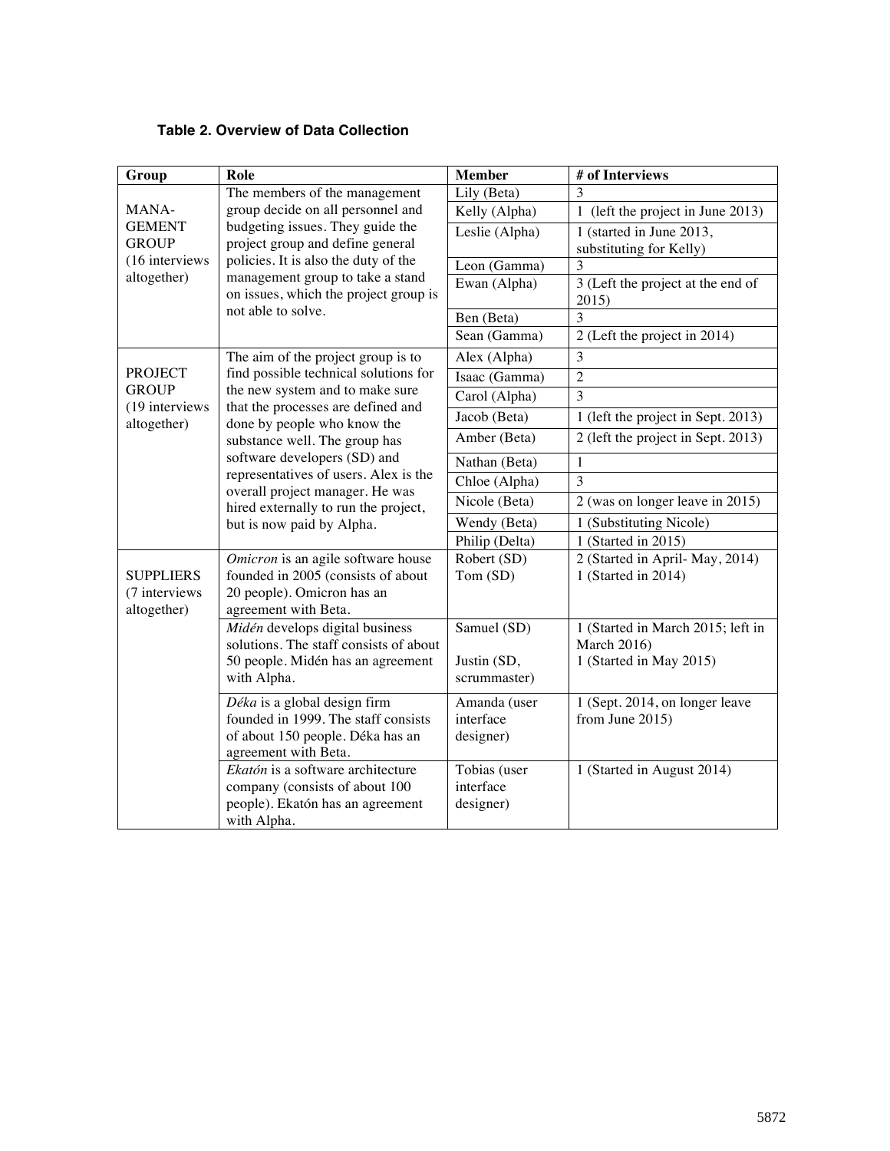|  |  | <b>Table 2. Overview of Data Collection</b> |
|--|--|---------------------------------------------|
|--|--|---------------------------------------------|

| Group                          | Role                                                                                                                                          | <b>Member</b>             | # of Interviews                            |
|--------------------------------|-----------------------------------------------------------------------------------------------------------------------------------------------|---------------------------|--------------------------------------------|
|                                | The members of the management                                                                                                                 | Lily (Beta)               | 3                                          |
| <b>MANA-</b>                   | group decide on all personnel and                                                                                                             | Kelly (Alpha)             | 1 (left the project in June 2013)          |
| <b>GEMENT</b>                  | budgeting issues. They guide the                                                                                                              | Leslie (Alpha)            | 1 (started in June 2013,                   |
| <b>GROUP</b>                   | project group and define general                                                                                                              |                           | substituting for Kelly)                    |
| (16 interviews                 | policies. It is also the duty of the                                                                                                          | Leon (Gamma)              | 3                                          |
| altogether)                    | management group to take a stand<br>on issues, which the project group is<br>not able to solve.                                               | Ewan (Alpha)              | 3 (Left the project at the end of<br>2015) |
|                                |                                                                                                                                               | Ben (Beta)                | 3                                          |
|                                |                                                                                                                                               | Sean (Gamma)              | 2 (Left the project in 2014)               |
|                                | The aim of the project group is to                                                                                                            | Alex (Alpha)              | 3                                          |
| <b>PROJECT</b>                 | find possible technical solutions for                                                                                                         | Isaac (Gamma)             | $\overline{2}$                             |
| <b>GROUP</b><br>(19 interviews | the new system and to make sure<br>that the processes are defined and                                                                         | Carol (Alpha)             | 3                                          |
| altogether)                    | done by people who know the                                                                                                                   | Jacob (Beta)              | 1 (left the project in Sept. 2013)         |
|                                | substance well. The group has                                                                                                                 | Amber (Beta)              | 2 (left the project in Sept. 2013)         |
|                                | software developers (SD) and                                                                                                                  | Nathan (Beta)             | 1                                          |
|                                | representatives of users. Alex is the<br>overall project manager. He was<br>hired externally to run the project,<br>but is now paid by Alpha. | Chloe (Alpha)             | 3                                          |
|                                |                                                                                                                                               | Nicole (Beta)             | 2 (was on longer leave in 2015)            |
|                                |                                                                                                                                               | Wendy (Beta)              | 1 (Substituting Nicole)                    |
|                                |                                                                                                                                               | Philip (Delta)            | $\overline{1}$ (Started in 2015)           |
|                                | $\overline{Omicron}$ is an agile software house                                                                                               | Robert (SD)               | 2 (Started in April- May, 2014)            |
| <b>SUPPLIERS</b>               | founded in 2005 (consists of about                                                                                                            | Tom (SD)                  | 1 (Started in 2014)                        |
| (7 interviews<br>altogether)   | 20 people). Omicron has an<br>agreement with Beta.                                                                                            |                           |                                            |
|                                | Midén develops digital business                                                                                                               | Samuel (SD)               | 1 (Started in March 2015; left in          |
|                                | solutions. The staff consists of about                                                                                                        |                           | <b>March 2016)</b>                         |
|                                | 50 people. Midén has an agreement                                                                                                             | Justin (SD,               | 1 (Started in May 2015)                    |
|                                | with Alpha.                                                                                                                                   | scrummaster)              |                                            |
|                                | Déka is a global design firm                                                                                                                  | Amanda (user              | 1 (Sept. 2014, on longer leave             |
|                                | founded in 1999. The staff consists                                                                                                           | interface                 | from June 2015)                            |
|                                | of about 150 people. Déka has an                                                                                                              | designer)                 |                                            |
|                                | agreement with Beta.                                                                                                                          |                           |                                            |
|                                | Ekatón is a software architecture                                                                                                             | Tobias (user<br>interface | 1 (Started in August 2014)                 |
|                                | company (consists of about 100<br>people). Ekatón has an agreement                                                                            | designer)                 |                                            |
|                                | with Alpha.                                                                                                                                   |                           |                                            |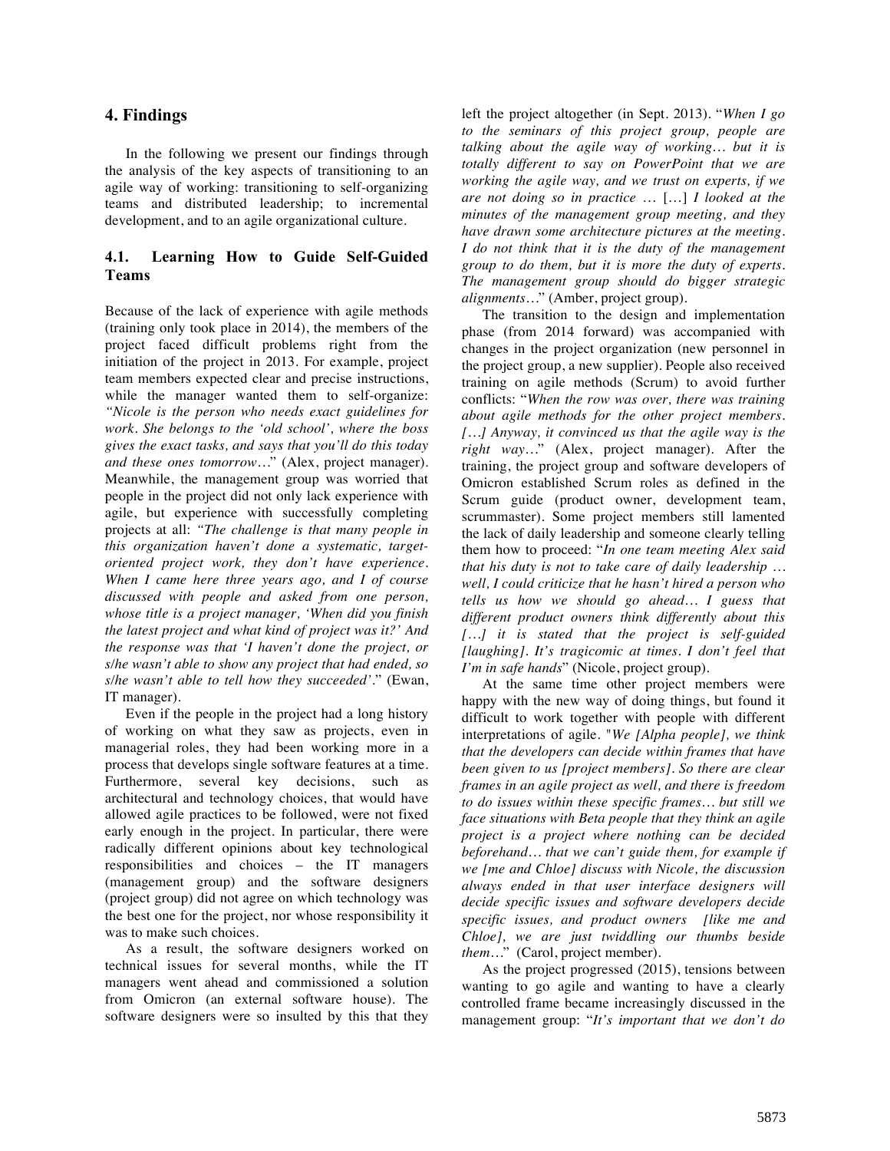## **4. Findings**

In the following we present our findings through the analysis of the key aspects of transitioning to an agile way of working: transitioning to self-organizing teams and distributed leadership; to incremental development, and to an agile organizational culture.

## **4.1. Learning How to Guide Self-Guided Teams**

Because of the lack of experience with agile methods (training only took place in 2014), the members of the project faced difficult problems right from the initiation of the project in 2013. For example, project team members expected clear and precise instructions, while the manager wanted them to self-organize: *"Nicole is the person who needs exact guidelines for work. She belongs to the 'old school', where the boss gives the exact tasks, and says that you'll do this today and these ones tomorrow…*" (Alex, project manager). Meanwhile, the management group was worried that people in the project did not only lack experience with agile, but experience with successfully completing projects at all: *"The challenge is that many people in this organization haven't done a systematic, targetoriented project work, they don't have experience. When I came here three years ago, and I of course discussed with people and asked from one person, whose title is a project manager, 'When did you finish the latest project and what kind of project was it?' And the response was that 'I haven't done the project, or s/he wasn't able to show any project that had ended, so s/he wasn't able to tell how they succeeded'.*" (Ewan, IT manager).

Even if the people in the project had a long history of working on what they saw as projects, even in managerial roles, they had been working more in a process that develops single software features at a time. Furthermore, several key decisions, such as architectural and technology choices, that would have allowed agile practices to be followed, were not fixed early enough in the project. In particular, there were radically different opinions about key technological responsibilities and choices – the IT managers (management group) and the software designers (project group) did not agree on which technology was the best one for the project, nor whose responsibility it was to make such choices.

As a result, the software designers worked on technical issues for several months, while the IT managers went ahead and commissioned a solution from Omicron (an external software house). The software designers were so insulted by this that they left the project altogether (in Sept. 2013). "*When I go to the seminars of this project group, people are talking about the agile way of working… but it is totally different to say on PowerPoint that we are working the agile way, and we trust on experts, if we are not doing so in practice* … […] *I looked at the minutes of the management group meeting, and they have drawn some architecture pictures at the meeting. I do not think that it is the duty of the management group to do them, but it is more the duty of experts. The management group should do bigger strategic alignments…*" (Amber, project group).

The transition to the design and implementation phase (from 2014 forward) was accompanied with changes in the project organization (new personnel in the project group, a new supplier). People also received training on agile methods (Scrum) to avoid further conflicts: "*When the row was over, there was training about agile methods for the other project members. […] Anyway, it convinced us that the agile way is the right way…*" (Alex, project manager). After the training, the project group and software developers of Omicron established Scrum roles as defined in the Scrum guide (product owner, development team, scrummaster). Some project members still lamented the lack of daily leadership and someone clearly telling them how to proceed: "*In one team meeting Alex said that his duty is not to take care of daily leadership … well, I could criticize that he hasn't hired a person who tells us how we should go ahead… I guess that different product owners think differently about this […] it is stated that the project is self-guided [laughing]. It's tragicomic at times. I don't feel that I'm in safe hands*" (Nicole, project group).

At the same time other project members were happy with the new way of doing things, but found it difficult to work together with people with different interpretations of agile. "*We [Alpha people], we think that the developers can decide within frames that have been given to us [project members]. So there are clear frames in an agile project as well, and there is freedom to do issues within these specific frames… but still we face situations with Beta people that they think an agile project is a project where nothing can be decided beforehand… that we can't guide them, for example if we [me and Chloe] discuss with Nicole, the discussion always ended in that user interface designers will decide specific issues and software developers decide specific issues, and product owners [like me and Chloe], we are just twiddling our thumbs beside them...*" (Carol, project member).

As the project progressed (2015), tensions between wanting to go agile and wanting to have a clearly controlled frame became increasingly discussed in the management group: "*It's important that we don't do*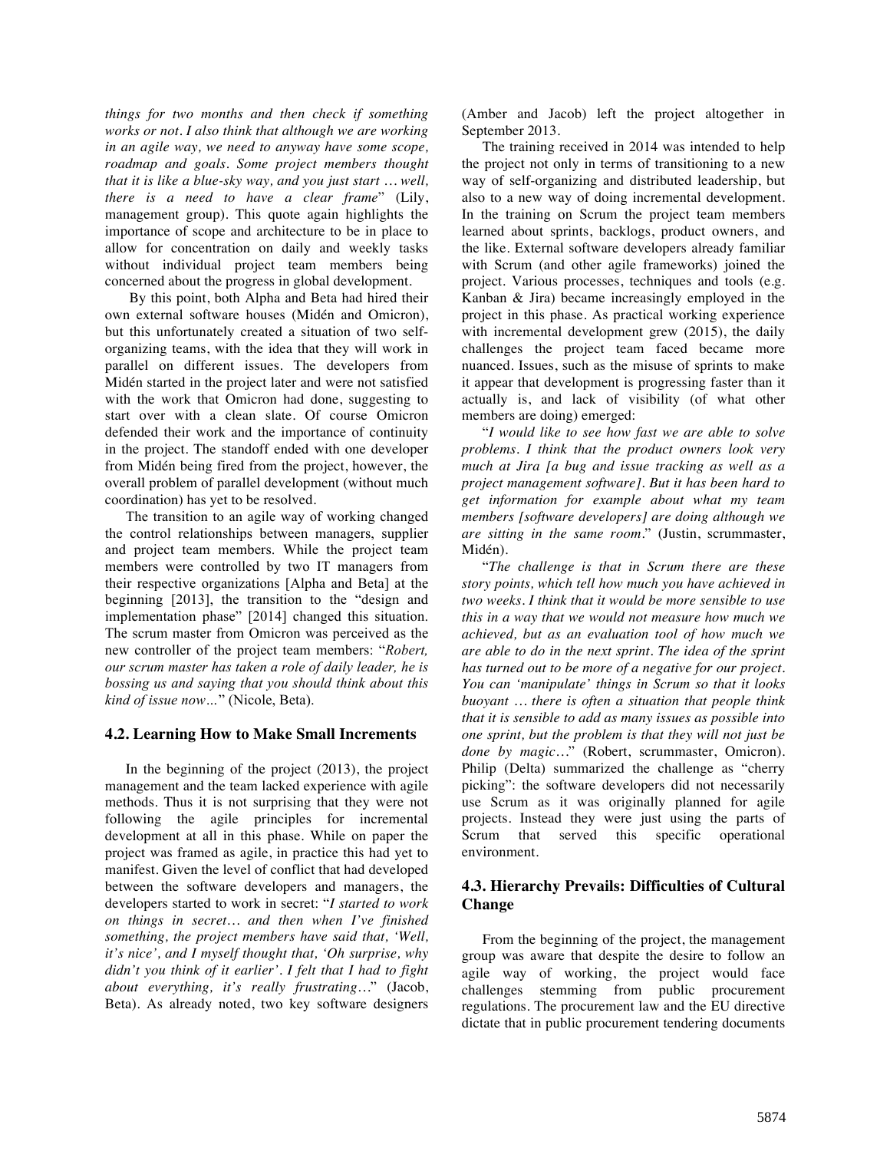*things for two months and then check if something works or not. I also think that although we are working in an agile way, we need to anyway have some scope, roadmap and goals. Some project members thought that it is like a blue-sky way, and you just start … well, there is a need to have a clear frame*" (Lily, management group). This quote again highlights the importance of scope and architecture to be in place to allow for concentration on daily and weekly tasks without individual project team members being concerned about the progress in global development.

By this point, both Alpha and Beta had hired their own external software houses (Midén and Omicron), but this unfortunately created a situation of two selforganizing teams, with the idea that they will work in parallel on different issues. The developers from Midén started in the project later and were not satisfied with the work that Omicron had done, suggesting to start over with a clean slate. Of course Omicron defended their work and the importance of continuity in the project. The standoff ended with one developer from Midén being fired from the project, however, the overall problem of parallel development (without much coordination) has yet to be resolved.

The transition to an agile way of working changed the control relationships between managers, supplier and project team members. While the project team members were controlled by two IT managers from their respective organizations [Alpha and Beta] at the beginning [2013], the transition to the "design and implementation phase" [2014] changed this situation. The scrum master from Omicron was perceived as the new controller of the project team members: "*Robert, our scrum master has taken a role of daily leader, he is bossing us and saying that you should think about this kind of issue now…*" (Nicole, Beta).

#### **4.2. Learning How to Make Small Increments**

In the beginning of the project (2013), the project management and the team lacked experience with agile methods. Thus it is not surprising that they were not following the agile principles for incremental development at all in this phase. While on paper the project was framed as agile, in practice this had yet to manifest. Given the level of conflict that had developed between the software developers and managers, the developers started to work in secret: "*I started to work on things in secret… and then when I've finished something, the project members have said that, 'Well, it's nice', and I myself thought that, 'Oh surprise, why didn't you think of it earlier'. I felt that I had to fight about everything, it's really frustrating…*" (Jacob, Beta). As already noted, two key software designers

(Amber and Jacob) left the project altogether in September 2013.

The training received in 2014 was intended to help the project not only in terms of transitioning to a new way of self-organizing and distributed leadership, but also to a new way of doing incremental development. In the training on Scrum the project team members learned about sprints, backlogs, product owners, and the like. External software developers already familiar with Scrum (and other agile frameworks) joined the project. Various processes, techniques and tools (e.g. Kanban & Jira) became increasingly employed in the project in this phase. As practical working experience with incremental development grew (2015), the daily challenges the project team faced became more nuanced. Issues, such as the misuse of sprints to make it appear that development is progressing faster than it actually is, and lack of visibility (of what other members are doing) emerged:

"*I would like to see how fast we are able to solve problems. I think that the product owners look very much at Jira [a bug and issue tracking as well as a project management software]. But it has been hard to get information for example about what my team members [software developers] are doing although we are sitting in the same room*." (Justin, scrummaster, Midén).

"*The challenge is that in Scrum there are these story points, which tell how much you have achieved in two weeks. I think that it would be more sensible to use this in a way that we would not measure how much we achieved, but as an evaluation tool of how much we are able to do in the next sprint. The idea of the sprint has turned out to be more of a negative for our project. You can 'manipulate' things in Scrum so that it looks buoyant … there is often a situation that people think that it is sensible to add as many issues as possible into one sprint, but the problem is that they will not just be done by magic…*" (Robert, scrummaster, Omicron). Philip (Delta) summarized the challenge as "cherry picking": the software developers did not necessarily use Scrum as it was originally planned for agile projects. Instead they were just using the parts of Scrum that served this specific operational environment.

#### **4.3. Hierarchy Prevails: Difficulties of Cultural Change**

From the beginning of the project, the management group was aware that despite the desire to follow an agile way of working, the project would face challenges stemming from public procurement regulations. The procurement law and the EU directive dictate that in public procurement tendering documents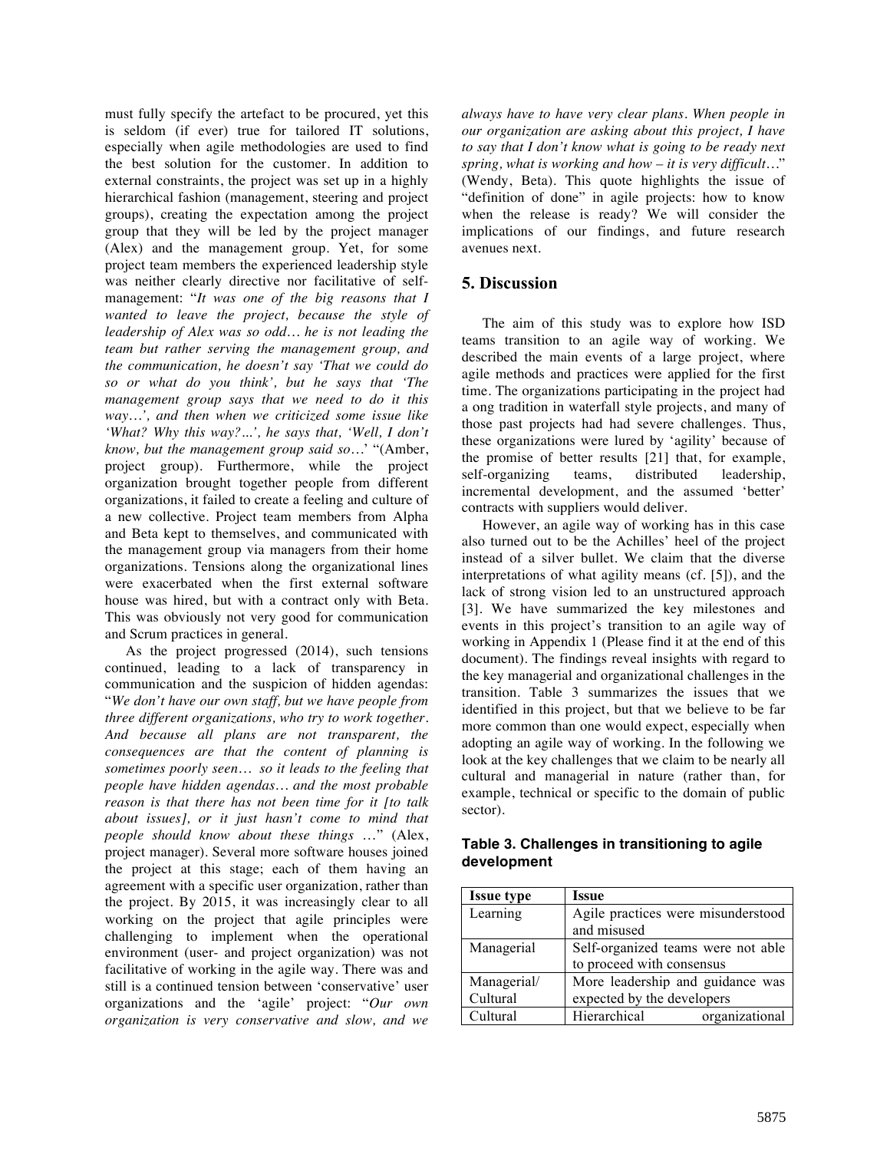must fully specify the artefact to be procured, yet this is seldom (if ever) true for tailored IT solutions, especially when agile methodologies are used to find the best solution for the customer. In addition to external constraints, the project was set up in a highly hierarchical fashion (management, steering and project groups), creating the expectation among the project group that they will be led by the project manager (Alex) and the management group. Yet, for some project team members the experienced leadership style was neither clearly directive nor facilitative of selfmanagement: "*It was one of the big reasons that I wanted to leave the project, because the style of leadership of Alex was so odd… he is not leading the team but rather serving the management group, and the communication, he doesn't say 'That we could do so or what do you think', but he says that 'The management group says that we need to do it this way…', and then when we criticized some issue like 'What? Why this way?...', he says that, 'Well, I don't know, but the management group said so…*' "(Amber, project group). Furthermore, while the project organization brought together people from different organizations, it failed to create a feeling and culture of a new collective. Project team members from Alpha and Beta kept to themselves, and communicated with the management group via managers from their home organizations. Tensions along the organizational lines were exacerbated when the first external software house was hired, but with a contract only with Beta. This was obviously not very good for communication and Scrum practices in general.

As the project progressed (2014), such tensions continued, leading to a lack of transparency in communication and the suspicion of hidden agendas: "*We don't have our own staff, but we have people from three different organizations, who try to work together. And because all plans are not transparent, the consequences are that the content of planning is sometimes poorly seen… so it leads to the feeling that people have hidden agendas… and the most probable reason is that there has not been time for it [to talk about issues], or it just hasn't come to mind that people should know about these things* …" (Alex, project manager). Several more software houses joined the project at this stage; each of them having an agreement with a specific user organization, rather than the project. By 2015, it was increasingly clear to all working on the project that agile principles were challenging to implement when the operational environment (user- and project organization) was not facilitative of working in the agile way. There was and still is a continued tension between 'conservative' user organizations and the 'agile' project: "*Our own organization is very conservative and slow, and we* 

*always have to have very clear plans. When people in our organization are asking about this project, I have to say that I don't know what is going to be ready next spring, what is working and how – it is very difficult…*" (Wendy, Beta). This quote highlights the issue of "definition of done" in agile projects: how to know when the release is ready? We will consider the implications of our findings, and future research avenues next.

#### **5. Discussion**

The aim of this study was to explore how ISD teams transition to an agile way of working. We described the main events of a large project, where agile methods and practices were applied for the first time. The organizations participating in the project had a ong tradition in waterfall style projects, and many of those past projects had had severe challenges. Thus, these organizations were lured by 'agility' because of the promise of better results [21] that, for example, self-organizing teams, distributed leadership, self-organizing teams, distributed leadership, incremental development, and the assumed 'better' contracts with suppliers would deliver.

However, an agile way of working has in this case also turned out to be the Achilles' heel of the project instead of a silver bullet. We claim that the diverse interpretations of what agility means (cf. [5]), and the lack of strong vision led to an unstructured approach [3]. We have summarized the key milestones and events in this project's transition to an agile way of working in Appendix 1 (Please find it at the end of this document). The findings reveal insights with regard to the key managerial and organizational challenges in the transition. Table 3 summarizes the issues that we identified in this project, but that we believe to be far more common than one would expect, especially when adopting an agile way of working. In the following we look at the key challenges that we claim to be nearly all cultural and managerial in nature (rather than, for example, technical or specific to the domain of public sector).

#### **Table 3. Challenges in transitioning to agile development**

| <b>Issue type</b> | <b>Issue</b>                       |  |
|-------------------|------------------------------------|--|
| Learning          | Agile practices were misunderstood |  |
|                   | and misused                        |  |
| Managerial        | Self-organized teams were not able |  |
|                   | to proceed with consensus          |  |
| Managerial/       | More leadership and guidance was   |  |
| Cultural          | expected by the developers         |  |
| Cultural          | organizational<br>Hierarchical     |  |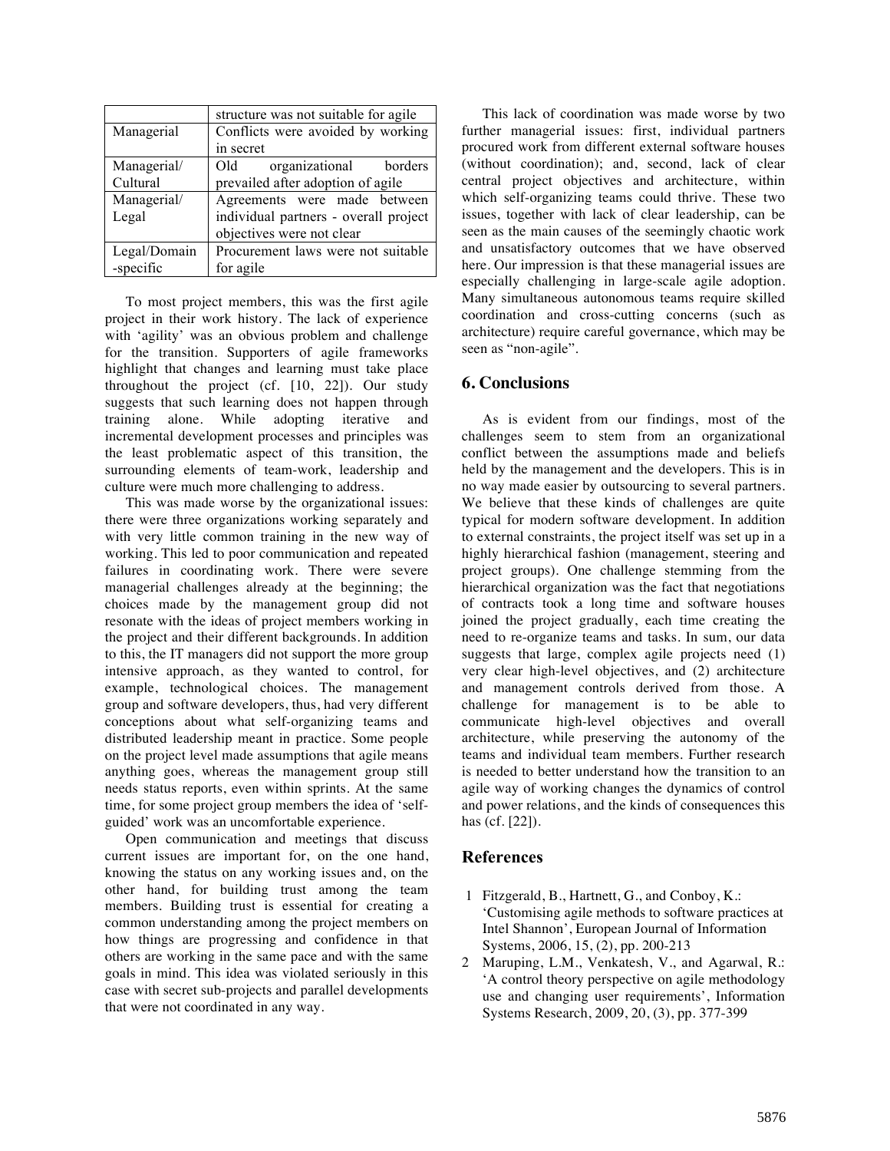|              | structure was not suitable for agile  |  |
|--------------|---------------------------------------|--|
| Managerial   | Conflicts were avoided by working     |  |
|              | in secret                             |  |
| Managerial/  | Old<br>organizational borders         |  |
| Cultural     | prevailed after adoption of agile     |  |
| Managerial/  | Agreements were made between          |  |
| Legal        | individual partners - overall project |  |
|              | objectives were not clear             |  |
| Legal/Domain | Procurement laws were not suitable    |  |
| -specific    | for agile                             |  |

To most project members, this was the first agile project in their work history. The lack of experience with 'agility' was an obvious problem and challenge for the transition. Supporters of agile frameworks highlight that changes and learning must take place throughout the project (cf. [10, 22]). Our study suggests that such learning does not happen through training alone. While adopting iterative and incremental development processes and principles was the least problematic aspect of this transition, the surrounding elements of team-work, leadership and culture were much more challenging to address.

This was made worse by the organizational issues: there were three organizations working separately and with very little common training in the new way of working. This led to poor communication and repeated failures in coordinating work. There were severe managerial challenges already at the beginning; the choices made by the management group did not resonate with the ideas of project members working in the project and their different backgrounds. In addition to this, the IT managers did not support the more group intensive approach, as they wanted to control, for example, technological choices. The management group and software developers, thus, had very different conceptions about what self-organizing teams and distributed leadership meant in practice. Some people on the project level made assumptions that agile means anything goes, whereas the management group still needs status reports, even within sprints. At the same time, for some project group members the idea of 'selfguided' work was an uncomfortable experience.

Open communication and meetings that discuss current issues are important for, on the one hand, knowing the status on any working issues and, on the other hand, for building trust among the team members. Building trust is essential for creating a common understanding among the project members on how things are progressing and confidence in that others are working in the same pace and with the same goals in mind. This idea was violated seriously in this case with secret sub-projects and parallel developments that were not coordinated in any way.

This lack of coordination was made worse by two further managerial issues: first, individual partners procured work from different external software houses (without coordination); and, second, lack of clear central project objectives and architecture, within which self-organizing teams could thrive. These two issues, together with lack of clear leadership, can be seen as the main causes of the seemingly chaotic work and unsatisfactory outcomes that we have observed here. Our impression is that these managerial issues are especially challenging in large-scale agile adoption. Many simultaneous autonomous teams require skilled coordination and cross-cutting concerns (such as architecture) require careful governance, which may be seen as "non-agile".

## **6. Conclusions**

As is evident from our findings, most of the challenges seem to stem from an organizational conflict between the assumptions made and beliefs held by the management and the developers. This is in no way made easier by outsourcing to several partners. We believe that these kinds of challenges are quite typical for modern software development. In addition to external constraints, the project itself was set up in a highly hierarchical fashion (management, steering and project groups). One challenge stemming from the hierarchical organization was the fact that negotiations of contracts took a long time and software houses joined the project gradually, each time creating the need to re-organize teams and tasks. In sum, our data suggests that large, complex agile projects need (1) very clear high-level objectives, and (2) architecture and management controls derived from those. A challenge for management is to be able to communicate high-level objectives and overall architecture, while preserving the autonomy of the teams and individual team members. Further research is needed to better understand how the transition to an agile way of working changes the dynamics of control and power relations, and the kinds of consequences this has (cf. [22]).

## **References**

- 1 Fitzgerald, B., Hartnett, G., and Conboy, K.: 'Customising agile methods to software practices at Intel Shannon', European Journal of Information Systems, 2006, 15, (2), pp. 200-213
- 2 Maruping, L.M., Venkatesh, V., and Agarwal, R.: 'A control theory perspective on agile methodology use and changing user requirements', Information Systems Research, 2009, 20, (3), pp. 377-399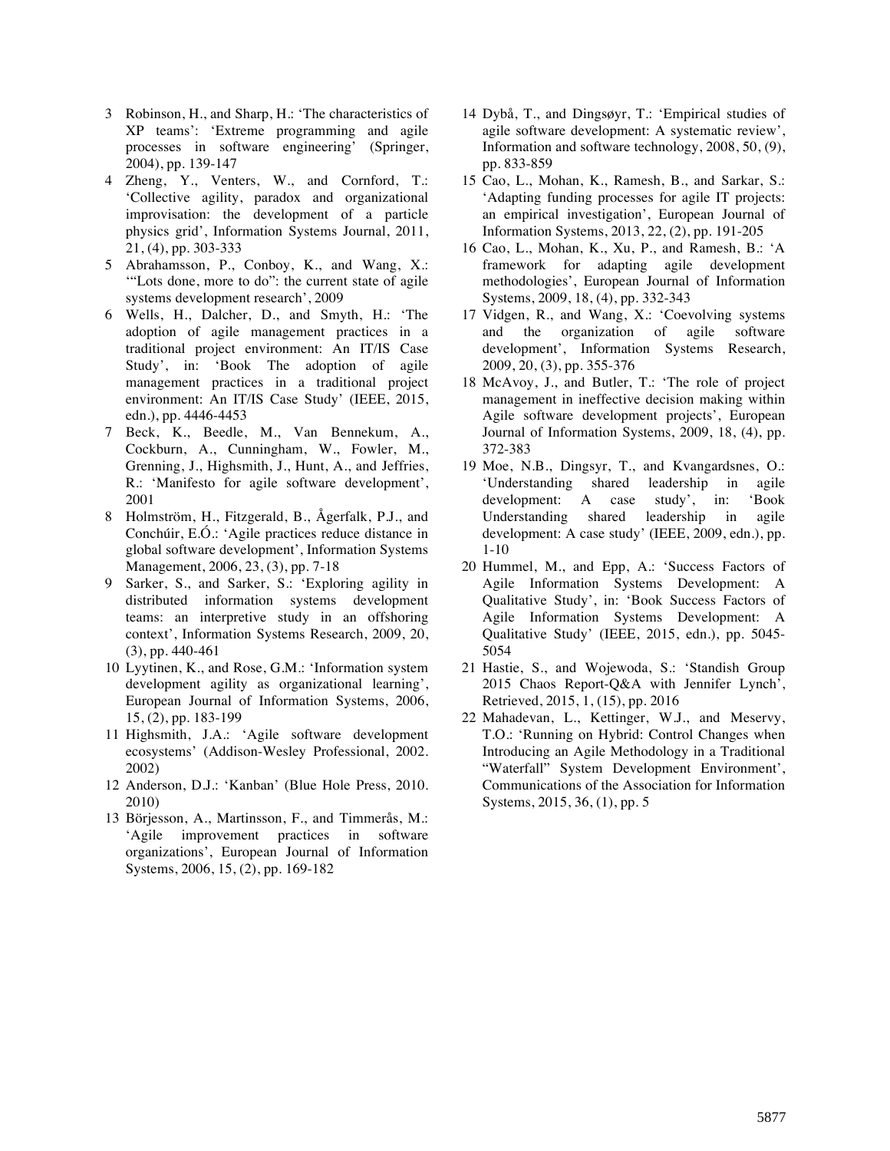- 3 Robinson, H., and Sharp, H.: 'The characteristics of XP teams': 'Extreme programming and agile processes in software engineering' (Springer, 2004), pp. 139-147
- 4 Zheng, Y., Venters, W., and Cornford, T.: 'Collective agility, paradox and organizational improvisation: the development of a particle physics grid', Information Systems Journal, 2011, 21, (4), pp. 303-333
- 5 Abrahamsson, P., Conboy, K., and Wang, X.: '"Lots done, more to do": the current state of agile systems development research', 2009
- 6 Wells, H., Dalcher, D., and Smyth, H.: 'The adoption of agile management practices in a traditional project environment: An IT/IS Case Study', in: 'Book The adoption of agile management practices in a traditional project environment: An IT/IS Case Study' (IEEE, 2015, edn.), pp. 4446-4453
- 7 Beck, K., Beedle, M., Van Bennekum, A., Cockburn, A., Cunningham, W., Fowler, M., Grenning, J., Highsmith, J., Hunt, A., and Jeffries, R.: 'Manifesto for agile software development', 2001
- 8 Holmström, H., Fitzgerald, B., Ågerfalk, P.J., and Conchúir, E.Ó.: 'Agile practices reduce distance in global software development', Information Systems Management, 2006, 23, (3), pp. 7-18
- 9 Sarker, S., and Sarker, S.: 'Exploring agility in distributed information systems development teams: an interpretive study in an offshoring context', Information Systems Research, 2009, 20, (3), pp. 440-461
- 10 Lyytinen, K., and Rose, G.M.: 'Information system development agility as organizational learning', European Journal of Information Systems, 2006, 15, (2), pp. 183-199
- 11 Highsmith, J.A.: 'Agile software development ecosystems' (Addison-Wesley Professional, 2002. 2002)
- 12 Anderson, D.J.: 'Kanban' (Blue Hole Press, 2010. 2010)
- 13 Börjesson, A., Martinsson, F., and Timmerås, M.: 'Agile improvement practices in software organizations', European Journal of Information Systems, 2006, 15, (2), pp. 169-182
- 14 Dybå, T., and Dingsøyr, T.: 'Empirical studies of agile software development: A systematic review', Information and software technology, 2008, 50, (9), pp. 833-859
- 15 Cao, L., Mohan, K., Ramesh, B., and Sarkar, S.: 'Adapting funding processes for agile IT projects: an empirical investigation', European Journal of Information Systems, 2013, 22, (2), pp. 191-205
- 16 Cao, L., Mohan, K., Xu, P., and Ramesh, B.: 'A framework for adapting agile development methodologies', European Journal of Information Systems, 2009, 18, (4), pp. 332-343
- 17 Vidgen, R., and Wang, X.: 'Coevolving systems and the organization of agile software development', Information Systems Research, 2009, 20, (3), pp. 355-376
- 18 McAvoy, J., and Butler, T.: 'The role of project management in ineffective decision making within Agile software development projects', European Journal of Information Systems, 2009, 18, (4), pp. 372-383
- 19 Moe, N.B., Dingsyr, T., and Kvangardsnes, O.: 'Understanding shared leadership in agile development: A case study', in: 'Book Understanding shared leadership in agile development: A case study' (IEEE, 2009, edn.), pp. 1-10
- 20 Hummel, M., and Epp, A.: 'Success Factors of Agile Information Systems Development: A Qualitative Study', in: 'Book Success Factors of Agile Information Systems Development: A Qualitative Study' (IEEE, 2015, edn.), pp. 5045- 5054
- 21 Hastie, S., and Wojewoda, S.: 'Standish Group 2015 Chaos Report-Q&A with Jennifer Lynch', Retrieved, 2015, 1, (15), pp. 2016
- 22 Mahadevan, L., Kettinger, W.J., and Meservy, T.O.: 'Running on Hybrid: Control Changes when Introducing an Agile Methodology in a Traditional "Waterfall" System Development Environment', Communications of the Association for Information Systems, 2015, 36, (1), pp. 5